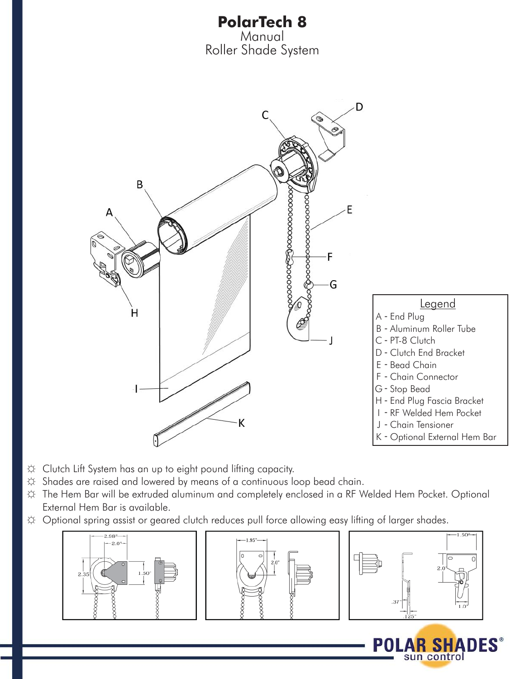

- ☼ Clutch Lift System has an up to eight pound lifting capacity.
- $\Leftrightarrow$  Shades are raised and lowered by means of a continuous loop bead chain.
- ☼ The Hem Bar will be extruded aluminum and completely enclosed in a RF Welded Hem Pocket. Optional External Hem Bar is available.
- ☼ Optional spring assist or geared clutch reduces pull force allowing easy lifting of larger shades.







AK SI sun control **DES** 

POL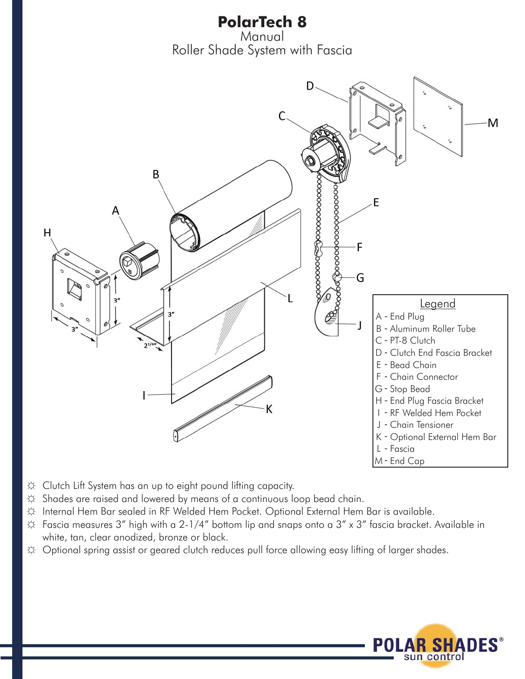**PolarTech 8** Manual Roller Shade System with Fascia



- ☼ Clutch Lift System has an up to eight pound lifting capacity.
- ☼ Shades are raised and lowered by means of a continuous loop bead chain.
- ☼ Internal Hem Bar sealed in RF Welded Hem Pocket. Optional External Hem Bar is available.
- $\uplus$  Fascia measures 3" high with a 2-1/4" bottom lip and snaps onto a 3" x 3" fascia bracket. Available in white, tan, clear anodized, bronze or black.
- ☼ Optional spring assist or geared clutch reduces pull force allowing easy lifting of larger shades.

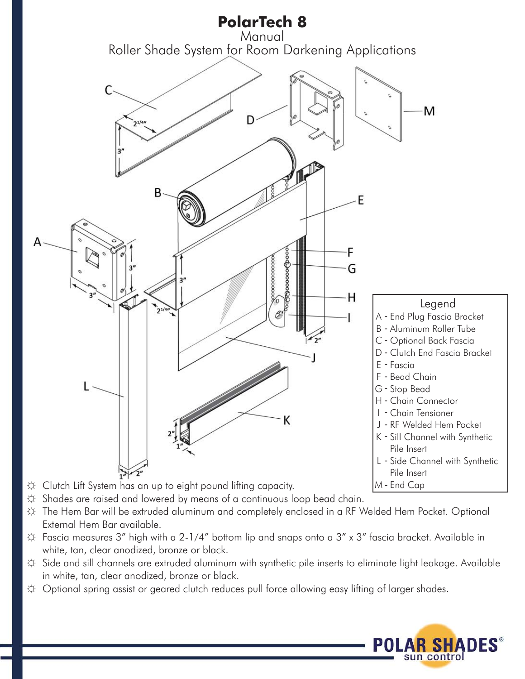

- $\hat{\varphi}$  Shades are raised and lowered by means of a continuous loop bead chain.
- ☼ The Hem Bar will be extruded aluminum and completely enclosed in a RF Welded Hem Pocket. Optional External Hem Bar available.
- ☼ Fascia measures 3" high with a 2-1/4" bottom lip and snaps onto a 3" x 3" fascia bracket. Available in white, tan, clear anodized, bronze or black.
- ☼ Side and sill channels are extruded aluminum with synthetic pile inserts to eliminate light leakage. Available in white, tan, clear anodized, bronze or black.
- ☼ Optional spring assist or geared clutch reduces pull force allowing easy lifting of larger shades.

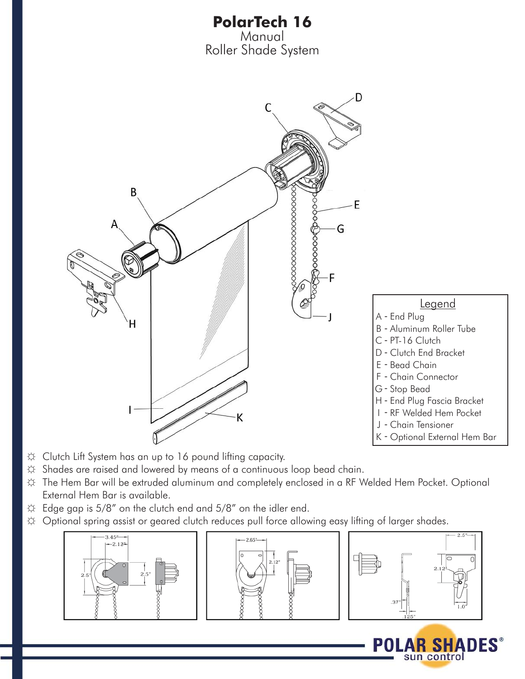

- ☼ Clutch Lift System has an up to 16 pound lifting capacity.
- ☼ Shades are raised and lowered by means of a continuous loop bead chain.
- ☼ The Hem Bar will be extruded aluminum and completely enclosed in a RF Welded Hem Pocket. Optional External Hem Bar is available.
- ☼ Edge gap is 5/8" on the clutch end and 5/8" on the idler end.
- ☼ Optional spring assist or geared clutch reduces pull force allowing easy lifting of larger shades.



POL

AK SI sun control **DES**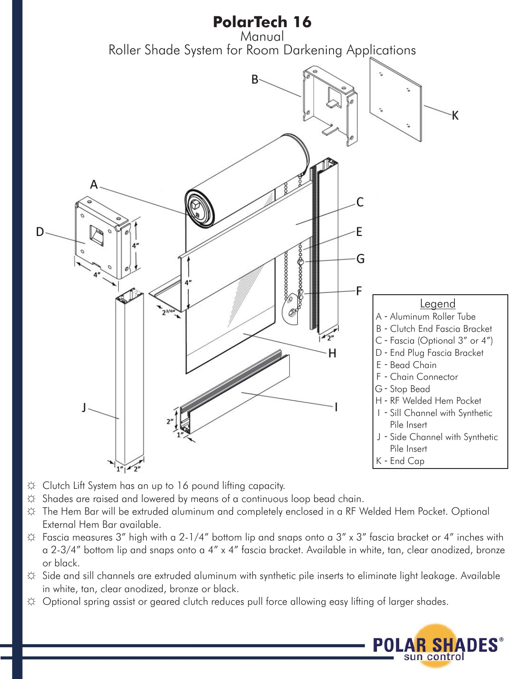

- ☼ Clutch Lift System has an up to 16 pound lifting capacity.
- $\hat{\varphi}$  Shades are raised and lowered by means of a continuous loop bead chain.
- ☼ The Hem Bar will be extruded aluminum and completely enclosed in a RF Welded Hem Pocket. Optional External Hem Bar available.
- $\uplus$  Fascia measures 3" high with a 2-1/4" bottom lip and snaps onto a 3" x 3" fascia bracket or 4" inches with a 2-3/4" bottom lip and snaps onto a 4" x 4" fascia bracket. Available in white, tan, clear anodized, bronze or black.
- ☼ Side and sill channels are extruded aluminum with synthetic pile inserts to eliminate light leakage. Available in white, tan, clear anodized, bronze or black.
- ☼ Optional spring assist or geared clutch reduces pull force allowing easy lifting of larger shades.

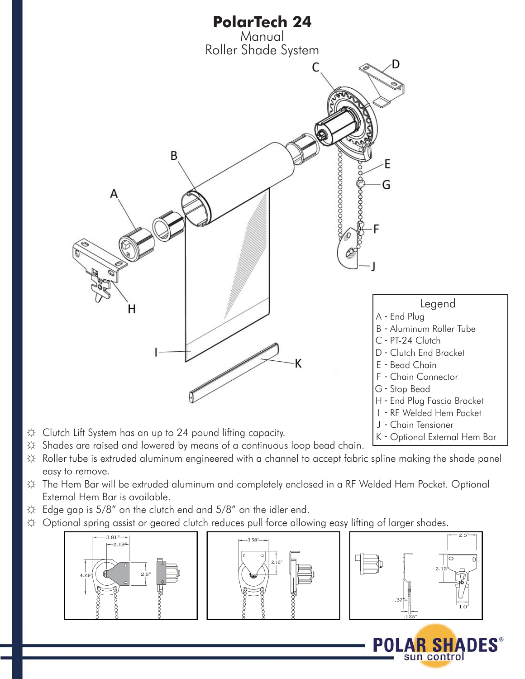

- ☼ Roller tube is extruded aluminum engineered with a channel to accept fabric spline making the shade panel easy to remove.
- ☼ The Hem Bar will be extruded aluminum and completely enclosed in a RF Welded Hem Pocket. Optional External Hem Bar is available.
- $\Leftrightarrow$  Edge gap is 5/8" on the clutch end and 5/8" on the idler end.
- $\uplus$  Optional spring assist or geared clutch reduces pull force allowing easy lifting of larger shades.



POI

sun control

DES®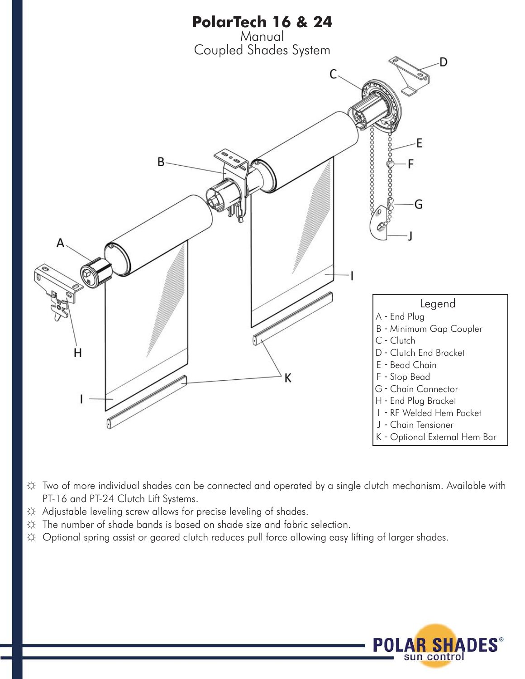

- ☼ Two of more individual shades can be connected and operated by a single clutch mechanism. Available with PT-16 and PT-24 Clutch Lift Systems.
- ☼ Adjustable leveling screw allows for precise leveling of shades.
- $\ddot{\varphi}$  The number of shade bands is based on shade size and fabric selection.
- ☼ Optional spring assist or geared clutch reduces pull force allowing easy lifting of larger shades.

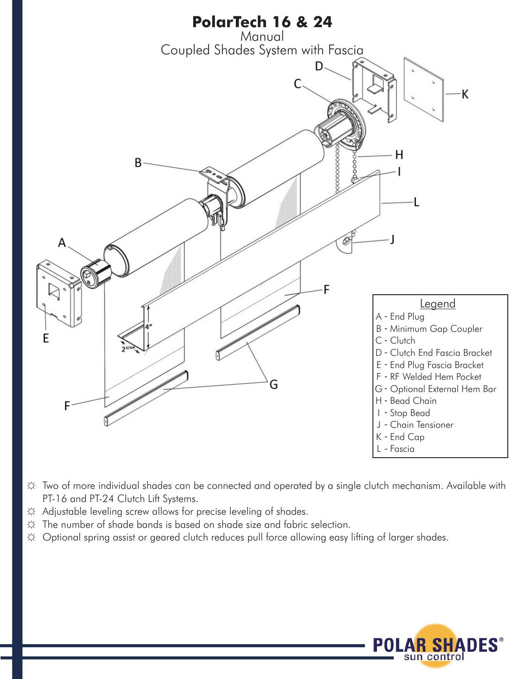

- ☼ Two of more individual shades can be connected and operated by a single clutch mechanism. Available with PT-16 and PT-24 Clutch Lift Systems.
- ☼ Adjustable leveling screw allows for precise leveling of shades.
- $\ddot{\varphi}$  The number of shade bands is based on shade size and fabric selection.
- ☼ Optional spring assist or geared clutch reduces pull force allowing easy lifting of larger shades.